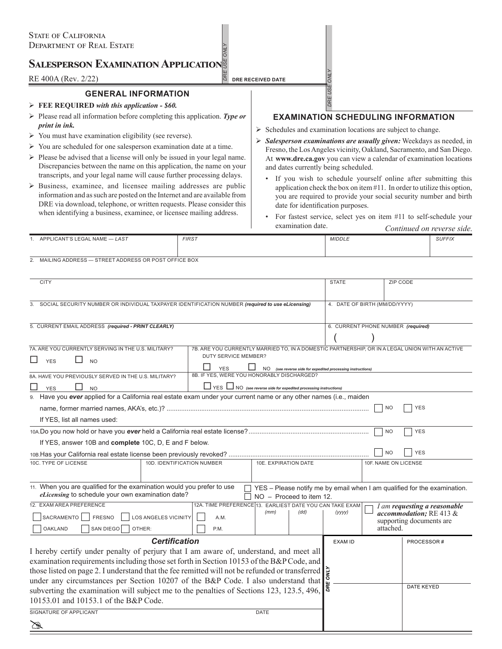# **Salesperson Examination Application**

**RE 400A (Rev. 2/22) DRE RECEIVED DATE** 

## **GENERAL INFORMATION**

### **FEE REQUIRED** *with this application - \$60.*

- Please read all information before completing this application. *Type or print in ink.*
- $\triangleright$  You must have examination eligibility (see reverse).
- $\triangleright$  You are scheduled for one salesperson examination date at a time.
- $\triangleright$  Please be advised that a license will only be issued in your legal name. Discrepancies between the name on this application, the name on your transcripts, and your legal name will cause further processing delays.
- $\triangleright$  Business, examinee, and licensee mailing addresses are public information and as such are posted on the Internet and are available from DRE via download, telephone, or written requests. Please consider this when identifying a business, examinee, or licensee mailing address.

### **EXAMINATION SCHEDULING INFORMATION**

 $\triangleright$  Schedules and examination locations are subject to change.

*DRE USE ONLY*

DRE USE ONLY

- *Salesperson examinations are usually given:* Weekdays as needed, in Fresno, the Los Angeles vicinity, Oakland, Sacramento, and San Diego. At **www.dre.ca.gov** you can view a calendar of examination locations and dates currently being scheduled.
	- If you wish to schedule yourself online after submitting this application check the box on item #11. In order to utilize this option, you are required to provide your social security number and birth date for identification purposes.
	- For fastest service, select yes on item #11 to self-schedule your examination date. *Continued on reverse side.*

|        | ' EGAL<br>$. NAME-LAST$<br>ICANT'S '<br>APP'                          | <b>FIRST</b> | MIDDLE | <b>SUFFI</b> |  |  |  |
|--------|-----------------------------------------------------------------------|--------------|--------|--------------|--|--|--|
|        |                                                                       |              |        |              |  |  |  |
|        |                                                                       |              |        |              |  |  |  |
| $\sim$ | <b><i>COFFICE BOX</i></b><br>MAILING ADDRESS - STREET ADDRESS OR POST |              |        |              |  |  |  |

DRE USE ONLY *DRE USE ONLY*

| <b>CITY</b>                                                                                                                                            |                                                          |                                                                 |                               |      | <b>STATE</b>                                                | <b>ZIP CODE</b> |                                                                          |  |
|--------------------------------------------------------------------------------------------------------------------------------------------------------|----------------------------------------------------------|-----------------------------------------------------------------|-------------------------------|------|-------------------------------------------------------------|-----------------|--------------------------------------------------------------------------|--|
|                                                                                                                                                        |                                                          |                                                                 |                               |      |                                                             |                 |                                                                          |  |
| SOCIAL SECURITY NUMBER OR INDIVIDUAL TAXPAYER IDENTIFICATION NUMBER (required to use eLicensing)                                                       |                                                          |                                                                 | 4. DATE OF BIRTH (MM/DD/YYYY) |      |                                                             |                 |                                                                          |  |
|                                                                                                                                                        |                                                          |                                                                 |                               |      |                                                             |                 |                                                                          |  |
| 5. CURRENT EMAIL ADDRESS (required - PRINT CLEARLY)                                                                                                    |                                                          |                                                                 |                               |      | 6. CURRENT PHONE NUMBER (required)                          |                 |                                                                          |  |
|                                                                                                                                                        |                                                          |                                                                 |                               |      |                                                             |                 |                                                                          |  |
| 7A. ARE YOU CURRENTLY SERVING IN THE U.S. MILITARY?<br>7B. ARE YOU CURRENTLY MARRIED TO, IN A DOMESTIC PARTNERSHIP, OR IN A LEGAL UNION WITH AN ACTIVE |                                                          |                                                                 |                               |      |                                                             |                 |                                                                          |  |
| <b>DUTY SERVICE MEMBER?</b><br><b>YES</b><br><b>NO</b>                                                                                                 |                                                          |                                                                 |                               |      |                                                             |                 |                                                                          |  |
|                                                                                                                                                        |                                                          | <b>YES</b>                                                      |                               |      | NO (see reverse side for expedited processing instructions) |                 |                                                                          |  |
| 8A. HAVE YOU PREVIOUSLY SERVED IN THE U.S. MILITARY?                                                                                                   |                                                          | 8B. IF YES, WERE YOU HONORABLY DISCHARGED?                      |                               |      |                                                             |                 |                                                                          |  |
| <b>YES</b><br><b>NO</b>                                                                                                                                |                                                          | YES NO (see reverse side for expedited processing instructions) |                               |      |                                                             |                 |                                                                          |  |
| 9. Have you ever applied for a California real estate exam under your current name or any other names (i.e., maiden                                    |                                                          |                                                                 |                               |      |                                                             |                 |                                                                          |  |
|                                                                                                                                                        |                                                          |                                                                 |                               |      |                                                             | <sub>NO</sub>   | <b>YES</b>                                                               |  |
| If YES, list all names used:                                                                                                                           |                                                          |                                                                 |                               |      |                                                             |                 |                                                                          |  |
|                                                                                                                                                        |                                                          |                                                                 |                               |      |                                                             | <b>NO</b>       | <b>YES</b>                                                               |  |
| If YES, answer 10B and complete 10C, D, E and F below.                                                                                                 |                                                          |                                                                 |                               |      |                                                             |                 |                                                                          |  |
|                                                                                                                                                        |                                                          |                                                                 |                               |      |                                                             | N <sub>O</sub>  | <b>YES</b>                                                               |  |
| 10C. TYPE OF LICENSE<br>10D. IDENTIFICATION NUMBER                                                                                                     |                                                          | 10E. EXPIRATION DATE                                            |                               |      | 10F. NAME ON LICENSE                                        |                 |                                                                          |  |
|                                                                                                                                                        |                                                          |                                                                 |                               |      |                                                             |                 |                                                                          |  |
|                                                                                                                                                        |                                                          |                                                                 |                               |      |                                                             |                 |                                                                          |  |
| 11. When you are qualified for the examination would you prefer to use<br><i>eLicensing</i> to schedule your own examination date?                     |                                                          |                                                                 | NO - Proceed to item 12.      |      |                                                             |                 | YES - Please notify me by email when I am qualified for the examination. |  |
| 12. EXAM AREA PREFERENCE                                                                                                                               | 12A. TIME PREFERENCE 13. EARLIEST DATE YOU CAN TAKE EXAM |                                                                 |                               |      | I am requesting a reasonable                                |                 |                                                                          |  |
| SACRAMENTO     FRESNO                                                                                                                                  | <b>LOS ANGELES VICINITY</b>                              | A.M.                                                            | (mm)                          | (dd) | (yyyy)                                                      |                 | accommodation; RE 413 &                                                  |  |
| SAN DIEGO<br>OAKLAND                                                                                                                                   | OTHER:                                                   | P.M.                                                            |                               |      |                                                             | attached.       | supporting documents are                                                 |  |
|                                                                                                                                                        |                                                          |                                                                 |                               |      | <b>EXAM ID</b>                                              |                 |                                                                          |  |
| <b>Certification</b>                                                                                                                                   |                                                          |                                                                 |                               |      |                                                             |                 | PROCESSOR#                                                               |  |
| I hereby certify under penalty of perjury that I am aware of, understand, and meet all                                                                 |                                                          |                                                                 |                               |      |                                                             |                 |                                                                          |  |
| examination requirements including those set forth in Section 10153 of the B&P Code, and                                                               |                                                          |                                                                 |                               |      |                                                             |                 |                                                                          |  |
| those listed on page 2. I understand that the fee remitted will not be refunded or transferred                                                         |                                                          |                                                                 |                               |      |                                                             |                 |                                                                          |  |
| under any circumstances per Section 10207 of the B&P Code. I also understand that                                                                      |                                                          |                                                                 |                               |      |                                                             |                 | <b>DATE KEYED</b>                                                        |  |
| subverting the examination will subject me to the penalties of Sections 123, 123.5, 496,                                                               |                                                          |                                                                 |                               |      |                                                             |                 |                                                                          |  |
| 10153.01 and 10153.1 of the B&P Code.                                                                                                                  |                                                          |                                                                 |                               |      |                                                             |                 |                                                                          |  |
| SIGNATURE OF APPLICANT<br><b>DATE</b>                                                                                                                  |                                                          |                                                                 |                               |      |                                                             |                 |                                                                          |  |
| ☎                                                                                                                                                      |                                                          |                                                                 |                               |      |                                                             |                 |                                                                          |  |